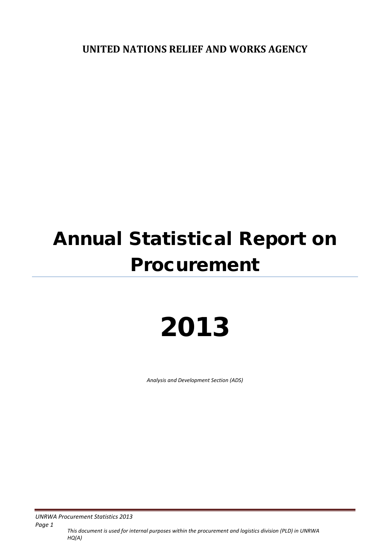**UNITED NATIONS RELIEF AND WORKS AGENCY**

# Annual Statistical Report on Procurement

# 2013

*Analysis and Development Section (ADS)*

*UNRWA Procurement Statistics 2013* 

*Page 1 This document is used for internal purposes within the procurement and logistics division (PLD) in UNRWA HQ(A)*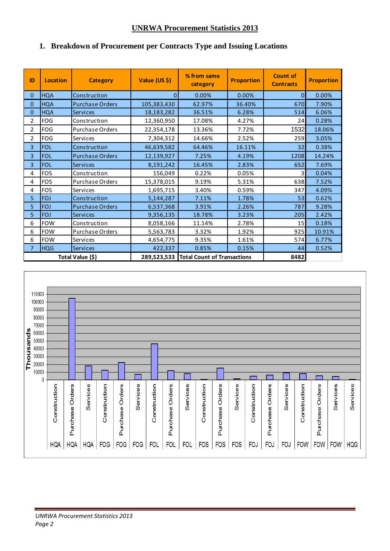#### **UNRWA Procurement Statistics 2013**

#### **1. Breakdown of Procurement per Contracts Type and Issuing Locations**

| ID             | <b>Location</b> | <b>Category</b>        | Value (US \$) | % from same<br>category                 | <b>Proportion</b> | <b>Count of</b><br><b>Contracts</b> | <b>Proportion</b> |
|----------------|-----------------|------------------------|---------------|-----------------------------------------|-------------------|-------------------------------------|-------------------|
| 0              | <b>HQA</b>      | Construction           | 0             | 0.00%                                   | 0.00%             | 0                                   | 0.00%             |
| $\overline{0}$ | <b>HQA</b>      | <b>Purchase Orders</b> | 105,383,430   | 62.97%                                  | 36.40%            | 670                                 | 7.90%             |
| 0              | <b>HQA</b>      | <b>Services</b>        | 18,183,282    | 36.51%                                  | 6.28%             | 514                                 | 6.06%             |
| 2              | FOG             | Construction           | 12,360,950    | 17.08%                                  | 4.27%             | 24                                  | 0.28%             |
| $\overline{2}$ | FOG             | Purchase Orders        | 22,354,178    | 13.36%                                  | 7.72%             | 1532                                | 18.06%            |
| 2              | <b>FOG</b>      | Services               | 7,304,312     | 14.66%                                  | 2.52%             | 259                                 | 3.05%             |
| 3              | <b>FOL</b>      | Construction           | 46,639,582    | 64.46%                                  | 16.11%            | 32                                  | 0.38%             |
| 3              | <b>FOL</b>      | <b>Purchase Orders</b> | 12,139,927    | 7.25%                                   | 4.19%             | 1208                                | 14.24%            |
| 3              | <b>FOL</b>      | <b>Services</b>        | 8,191,242     | 16.45%                                  | 2.83%             | 652                                 | 7.69%             |
| 4              | FOS             | Construction           | 156,049       | 0.22%                                   | 0.05%             | 3                                   | 0.04%             |
| 4              | <b>FOS</b>      | <b>Purchase Orders</b> | 15,378,015    | 9.19%                                   | 5.31%             | 638                                 | 7.52%             |
| 4              | <b>FOS</b>      | Services               | 1,695,715     | 3.40%                                   | 0.59%             | 347                                 | 4.09%             |
| 5              | <b>FOJ</b>      | Construction           | 5,144,287     | 7.11%                                   | 1.78%             | 53                                  | 0.62%             |
| 5              | <b>FOJ</b>      | <b>Purchase Orders</b> | 6,537,368     | 3.91%                                   | 2.26%             | 787                                 | 9.28%             |
| 5              | <b>FOJ</b>      | <b>Services</b>        | 9,356,135     | 18.78%                                  | 3.23%             | 205                                 | 2.42%             |
| 6              | <b>FOW</b>      | Construction           | 8,058,166     | 11.14%                                  | 2.78%             | 15                                  | 0.18%             |
| 6              | <b>FOW</b>      | <b>Purchase Orders</b> | 5,563,783     | 3.32%                                   | 1.92%             | 925                                 | 10.91%            |
| 6              | <b>FOW</b>      | Services               | 4,654,775     | 9.35%                                   | 1.61%             | 574                                 | 6.77%             |
| 7              | <b>HQG</b>      | <b>Services</b>        | 422,337       | 0.85%                                   | 0.15%             | 44                                  | 0.52%             |
|                |                 | Total Value (\$)       |               | 289,523,533 Total Count of Transactions |                   | 8482                                |                   |

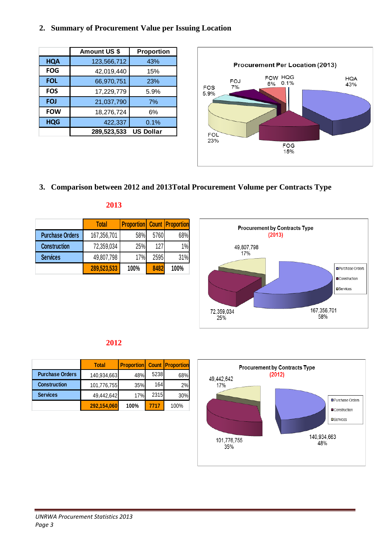#### **2. Summary of Procurement Value per Issuing Location**

|            | <b>Amount US \$</b> | <b>Proportion</b> |
|------------|---------------------|-------------------|
| <b>HQA</b> | 123,566,712         | 43%               |
| <b>FOG</b> | 42,019,440          | 15%               |
| <b>FOL</b> | 66,970,751          | 23%               |
| <b>FOS</b> | 17,229,779          | 5.9%              |
| <b>FOJ</b> | 21,037,790          | 7%                |
| <b>FOW</b> | 18,276,724          | 6%                |
| <b>HQG</b> | 422,337             | 0.1%              |
|            | 289,523,533         | <b>US Dollar</b>  |



### **3. Comparison between 2012 and 2013Total Procurement Volume per Contracts Type**

|                        | <b>Total</b> | <b>Proportion</b> Count Proportion |      |      |
|------------------------|--------------|------------------------------------|------|------|
| <b>Purchase Orders</b> | 167,356,701  | 58%                                | 5760 | 68%  |
| <b>Construction</b>    | 72,359,034   | 25%                                | 127  | 1%   |
| <b>Services</b>        | 49,807,798   | 17%                                | 2595 | 31%  |
|                        | 289,523,533  | 100%                               | 8482 | 100% |

| ٠ |        | ۹ |     |
|---|--------|---|-----|
|   | $\sim$ |   | . . |
|   |        |   |     |



#### **2012**

|                        | <b>Total</b> | <b>Proportion</b> Count Proportion |      |      |
|------------------------|--------------|------------------------------------|------|------|
| <b>Purchase Orders</b> | 140,934,663  | 48%                                | 5238 | 68%  |
| <b>Construction</b>    | 101,776,755  | 35%                                | 164  | 2%   |
| <b>Services</b>        | 49,442,642   | 17%                                | 2315 | 30%  |
|                        | 292,154,060  | 100%                               | 7717 | 100% |

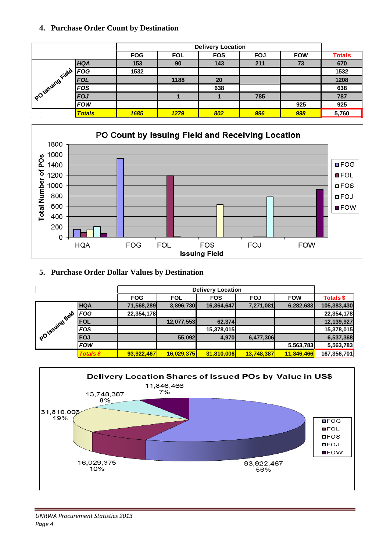#### **4. Purchase Order Count by Destination**

|                  |               |            | <b>Delivery Location</b> |            |            |            |               |  |  |
|------------------|---------------|------------|--------------------------|------------|------------|------------|---------------|--|--|
|                  |               | <b>FOG</b> | <b>FOL</b>               | <b>FOS</b> | <b>FOJ</b> | <b>FOW</b> | <b>Totals</b> |  |  |
|                  | <b>HQA</b>    | 153        | 90                       | 143        | 211        | 73         | 670           |  |  |
|                  | <b>FOG</b>    | 1532       |                          |            |            |            | 1532          |  |  |
|                  | <b>FOL</b>    |            | 1188                     | 20         |            |            | 1208          |  |  |
|                  | <b>FOS</b>    |            |                          | 638        |            |            | 638           |  |  |
| POTESUITOFIEID F | <b>FOJ</b>    |            |                          |            | 785        |            | 787           |  |  |
|                  | <b>FOW</b>    |            |                          |            |            | 925        | 925           |  |  |
|                  | <b>Totals</b> | 1685       | 1279                     | 802        | 996        | 998        | 5,760         |  |  |



#### **5. Purchase Order Dollar Values by Destination**

|                              |                  |            | <b>Delivery Location</b> |            |            |            |             |  |  |  |
|------------------------------|------------------|------------|--------------------------|------------|------------|------------|-------------|--|--|--|
|                              |                  | <b>FOG</b> | <b>FOL</b>               | <b>FOS</b> | <b>FOJ</b> | <b>FOW</b> | Totals \$   |  |  |  |
|                              | <b>HQA</b>       | 71,568,289 | 3,896,730                | 16,364,647 | 7,271,081  | 6,282,683  | 105,383,430 |  |  |  |
|                              | <b>FOG</b>       | 22,354,178 |                          |            |            |            | 22,354,178  |  |  |  |
|                              | <b>FOL</b>       |            | 12,077,553               | 62,374     |            |            | 12,139,927  |  |  |  |
|                              | <b>FOS</b>       |            |                          | 15,378,015 |            |            | 15,378,015  |  |  |  |
| Pol <sup>issuing field</sup> | <b>FOJ</b>       |            | 55,092                   | 4,970      | 6,477,306  |            | 6,537,368   |  |  |  |
|                              | <b>FOW</b>       |            |                          |            |            | 5,563,783  | 5,563,783   |  |  |  |
|                              | <b>Totals \$</b> | 93,922,467 | 16,029,375               | 31,810,006 | 13,748,387 | 11,846,466 | 167,356,701 |  |  |  |

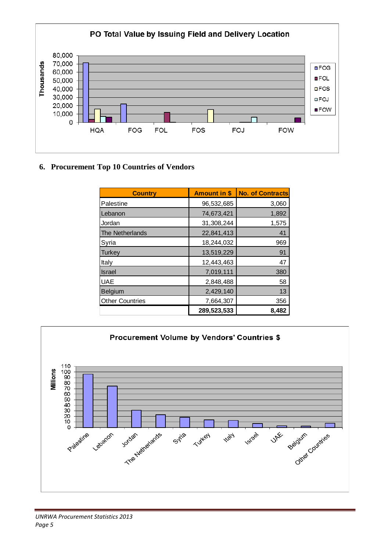

#### **6. Procurement Top 10 Countries of Vendors**

| <b>Country</b>         | <b>Amount in \$</b> | <b>No. of Contracts</b> |
|------------------------|---------------------|-------------------------|
| Palestine              | 96,532,685          | 3,060                   |
| Lebanon                | 74,673,421          | 1,892                   |
| Jordan                 | 31,308,244          | 1,575                   |
| <b>The Netherlands</b> | 22,841,413          | 41                      |
| Syria                  | 18,244,032          | 969                     |
| Turkey                 | 13,519,229          | 91                      |
| Italy                  | 12,443,463          | 47                      |
| <b>Israel</b>          | 7,019,111           | 380                     |
| <b>UAE</b>             | 2,848,488           | 58                      |
| Belgium                | 2,429,140           | 13                      |
| <b>Other Countries</b> | 7,664,307           | 356                     |
|                        | 289,523,533         | 8,482                   |

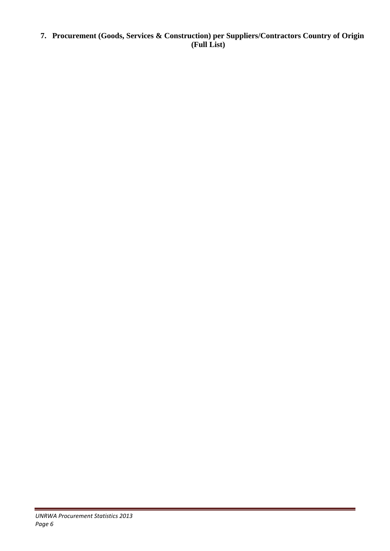**7. Procurement (Goods, Services & Construction) per Suppliers/Contractors Country of Origin (Full List)**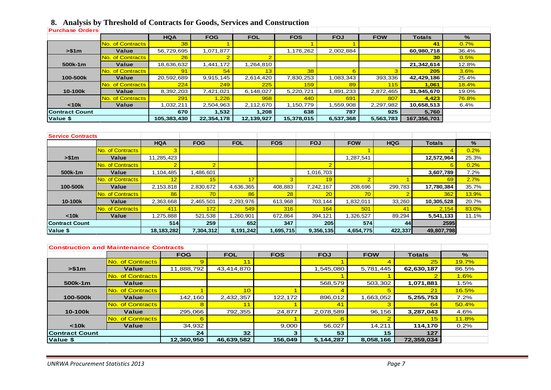## **8. Analysis by Threshold of Contracts for Goods, Services and Construction**

| <b>Purchase Orders</b> |                  |             |                |            |            |            |            |               |               |
|------------------------|------------------|-------------|----------------|------------|------------|------------|------------|---------------|---------------|
|                        |                  | <b>HQA</b>  | <b>FOG</b>     | <b>FOL</b> | <b>FOS</b> | <b>FOJ</b> | <b>FOW</b> | <b>Totals</b> | $\frac{9}{6}$ |
|                        | No. of Contracts | 38          |                |            |            |            |            | 41            | 0.7%          |
| > \$1m                 | Value            | 56,729,695  | 1,071,877      |            | 1,176,262  | 2,002,884  |            | 60,980,718    | 36.4%         |
|                        | No. of Contracts | 26          | $\overline{2}$ |            |            |            |            | 30            | 0.5%          |
| 500k-1m                | Value            | 18,636,632  | .441,172       | 1,264,810  |            |            |            | 21,342,614    | 12.8%         |
|                        | No. of Contracts | 91          | 54             | 13         | 38         |            |            | 205           | 3.6%          |
| 100-500k               | Value            | 20,592,689  | 9,915,145      | 2,614,420  | 7,830,253  | 1,083,343  | 393,336    | 42,429,186    | 25.4%         |
|                        | No. of Contracts | 224         | 249            | 225        | 159        | 89         | 115        | 1,061         | 18.4%         |
| 10-100k                | Value            | 8,392,203   | 7,421,021      | 6,148,027  | 5,220,721  | 1,891,233  | 2,872,465  | 31,945,670    | 19.0%         |
|                        | No. of Contracts | 291         | 1,226          | 968        | 440        | 691        | 807        | 4,423         | <b>76.8%</b>  |
| < 10k                  | Value            | 1,032,211   | 2,504,963      | 2,112,670  | 1,150,779  | 1,559,908  | 2,297,982  | 10,658,513    | 6.4%          |
| <b>IContract Count</b> |                  | 670         | 1,532          | 1,208      | 638        | 787        | 925        | 5,760         |               |
| Value \$               |                  | 105,383,430 | 22,354,178     | 12,139,927 | 15,378,015 | 6,537,368  | 5,563,783  | 167,356,701   |               |

| <b>Service Contracts</b> |                          |            |                  |            |                 |            |                 |            |               |              |
|--------------------------|--------------------------|------------|------------------|------------|-----------------|------------|-----------------|------------|---------------|--------------|
|                          |                          | <b>HQA</b> | <b>FOG</b>       | <b>FOL</b> | <b>FOS</b>      | <b>FOJ</b> | <b>FOW</b>      | <b>HQG</b> | <b>Totals</b> | $\%$         |
|                          | No. of Contracts         |            |                  |            |                 |            |                 |            |               | 0.2%         |
| > \$1m                   | Value                    | 11,285,423 |                  |            |                 |            | ,287,541        |            | 12,572,964    | 25.3%        |
|                          | No. of Contracts         |            | $\Omega$         |            |                 |            |                 |            |               | 0.2%         |
| 500k-1m                  | Value                    | 1,104,485  | ,486,601         |            |                 | 1,016,703  |                 |            | 3,607,789     | 7.2%         |
|                          | <b>INo. of Contracts</b> | 12         | 15               | 17         |                 | 19         | o               |            | 69            | 2.7%         |
| 100-500k                 | Value                    | 2,153,818  | 2,830,672        | 4,636,365  | 408,883         | 7,242,167  | 208,696         | 299,783    | 17,780,384    | 35.7%        |
|                          | No. of Contracts         | 86         | 70               | 86         | 28 <sup>1</sup> | 20         | 70 <sup>°</sup> |            | 362           | <b>13.9%</b> |
| 10-100k                  | Value                    | 2,363,668  | 2,465,501        | 2,293,976  | 613,968         | 703.144    | ,832,011        | 33,260     | 10,305,528    | 20.7%        |
|                          | <b>No. of Contracts</b>  | 411        | 172 <sub>2</sub> | 549        | 316             | 164        | 501             | 41         | 2,154         | 83.0%        |
| < 10k                    | Value                    | 1,275,888  | 521,538          | 1,260,901  | 672.864         | 394,121    | ,326,527        | 89,294     | 5,541,133     | 11.1%        |
| <b>Contract Count</b>    |                          | 514        | 259              | 652        | 347             | 205        | 574             | 44         | 2595          |              |
| Value \$                 |                          | 18,183,282 | 7,304,312        | 8,191,242  | 1,695,715       | 9,356,135  | 4,654,775       | 422,337    | 49,807,798    |              |

| <b>Construction and Maintenance Contracts</b> |                         |                 |            |            |            |            |               |       |
|-----------------------------------------------|-------------------------|-----------------|------------|------------|------------|------------|---------------|-------|
|                                               |                         | <b>FOG</b>      | <b>FOL</b> | <b>FOS</b> | <b>FOJ</b> | <b>FOW</b> | <b>Totals</b> | $\%$  |
|                                               | No. of Contracts        |                 |            |            |            |            | 25            | 19.7% |
| > \$1m                                        | Value                   | 11,888,792      | 43,414,870 |            | 1,545,080  | 5,781,445  | 62,630,187    | 86.5% |
|                                               | No. of Contracts        |                 |            |            |            |            |               | 1.6%  |
| 500k-1m                                       | Value                   |                 |            |            | 568,579    | 503,302    | 1,071,881     | 1.5%  |
|                                               | No. of Contracts        |                 | 10         |            |            |            | 21            | 16.5% |
| 100-500k                                      | Value                   | 142,160         | 2,432,357  | 122,172    | 896,012    | 1,663,052  | 5,255,753     | 7.2%  |
|                                               | <b>No. of Contracts</b> |                 |            |            | 41         |            | 64            | 50.4% |
| 10-100 <sub>k</sub>                           | Value                   | 295,066         | 792,355    | 24,877     | 2,078,589  | 96,156     | 3,287,043     | 4.6%  |
|                                               | No. of Contracts        |                 |            |            |            |            | 15            | 11.8% |
| $10k$                                         | Value                   | 34,932          |            | 9,000      | 56,027     | 14,211     | 114,170       | 0.2%  |
| Contract Count<br>24                          |                         | 32 <sub>2</sub> |            | 53         | 15         | 127        |               |       |
| Value \$                                      |                         | 12,360,950      | 46,639,582 | 156,049    | 5,144,287  | 8,058,166  | 72,359,034    |       |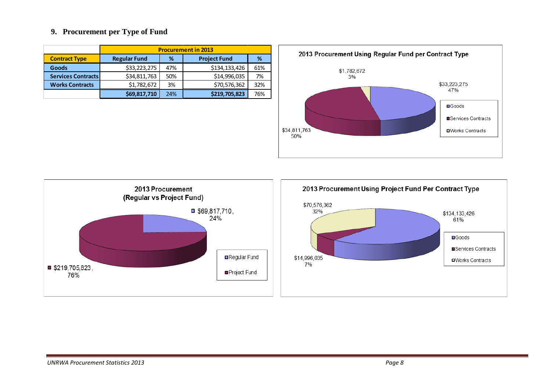#### **9. Procurement per Type of Fund**

|                           | <b>Procurement in 2013</b>           |                          |               |     |  |  |  |  |
|---------------------------|--------------------------------------|--------------------------|---------------|-----|--|--|--|--|
| <b>Contract Type</b>      | <b>Regular Fund</b>                  | <b>Project Fund</b><br>℅ |               |     |  |  |  |  |
| <b>Goods</b>              | \$33,223,275                         | 47%                      | \$134,133,426 | 61% |  |  |  |  |
| <b>Services Contracts</b> | \$34,811,763                         | 50%                      | \$14,996,035  | 7%  |  |  |  |  |
| <b>Works Contracts</b>    | \$1,782,672                          | 3%                       | \$70,576,362  | 32% |  |  |  |  |
|                           | \$219,705,823<br>\$69,817,710<br>24% |                          |               |     |  |  |  |  |



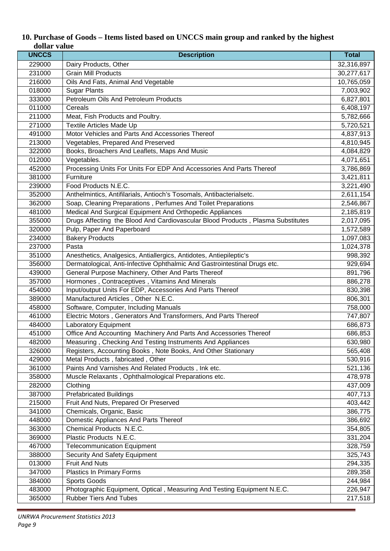| <b>UNCCS</b> | <b>Description</b>                                                              | <b>Total</b> |
|--------------|---------------------------------------------------------------------------------|--------------|
| 229000       | Dairy Products, Other                                                           | 32,316,897   |
| 231000       | <b>Grain Mill Products</b>                                                      | 30,277,617   |
| 216000       | Oils And Fats, Animal And Vegetable                                             | 10,765,059   |
| 018000       | <b>Sugar Plants</b>                                                             | 7,003,902    |
| 333000       | Petroleum Oils And Petroleum Products                                           | 6,827,801    |
| 011000       | Cereals                                                                         | 6,408,197    |
| 211000       | Meat, Fish Products and Poultry.                                                | 5,782,666    |
| 271000       | Textile Articles Made Up                                                        | 5,720,521    |
| 491000       | Motor Vehicles and Parts And Accessories Thereof                                | 4,837,913    |
| 213000       | Vegetables, Prepared And Preserved                                              | 4,810,945    |
| 322000       | Books, Broachers And Leaflets, Maps And Music                                   | 4,084,829    |
| 012000       | Vegetables.                                                                     | 4,071,651    |
| 452000       | Processing Units For Units For EDP And Accessories And Parts Thereof            | 3,786,869    |
| 381000       | Furniture                                                                       | 3,421,811    |
| 239000       | Food Products N.E.C.                                                            | 3,221,490    |
| 352000       | Anthelmintics, Antifilarials, Antioch's Tosomals, Antibacterialsetc.            | 2,611,154    |
| 362000       | Soap, Cleaning Preparations, Perfumes And Toilet Preparations                   | 2,546,867    |
| 481000       | Medical And Surgical Equipment And Orthopedic Appliances                        | 2,185,819    |
| 355000       | Drugs Affecting the Blood And Cardiovascular Blood Products, Plasma Substitutes | 2,017,095    |
| 320000       | Pulp, Paper And Paperboard                                                      | 1,572,589    |
| 234000       | <b>Bakery Products</b>                                                          | 1,097,083    |
| 237000       | Pasta                                                                           | 1,024,378    |
| 351000       | Anesthetics, Analgesics, Antiallergics, Antidotes, Antiepileptic's              | 998,392      |
| 356000       | Dermatological, Anti-Infective Ophthalmic And Gastrointestinal Drugs etc.       | 929,694      |
| 439000       | General Purpose Machinery, Other And Parts Thereof                              | 891,796      |
| 357000       | Hormones, Contraceptives, Vitamins And Minerals                                 | 886,278      |
| 454000       | Input/output Units For EDP, Accessories And Parts Thereof                       | 830,398      |
| 389000       | Manufactured Articles, Other N.E.C.                                             | 806,301      |
| 458000       | Software, Computer, Including Manuals                                           | 758,000      |
| 461000       | Electric Motors, Generators And Transformers, And Parts Thereof                 | 747,807      |
| 484000       | <b>Laboratory Equipment</b>                                                     | 686,873      |
| 451000       | Office And Accounting Machinery And Parts And Accessories Thereof               | 686,853      |
| 482000       | Measuring, Checking And Testing Instruments And Appliances                      | 630,980      |
| 326000       | Registers, Accounting Books, Note Books, And Other Stationary                   | 565,408      |
| 429000       | Metal Products, fabricated, Other                                               | 530,916      |
| 361000       | Paints And Varnishes And Related Products, Ink etc.                             | 521,136      |
| 358000       | Muscle Relaxants, Ophthalmological Preparations etc.                            | 478,978      |
| 282000       | Clothing                                                                        | 437,009      |
| 387000       | <b>Prefabricated Buildings</b>                                                  | 407,713      |
| 215000       | Fruit And Nuts, Prepared Or Preserved                                           | 403,442      |
| 341000       | Chemicals, Organic, Basic                                                       | 386,775      |
| 448000       | Domestic Appliances And Parts Thereof                                           | 386,692      |
| 363000       | Chemical Products N.E.C.                                                        | 354,805      |
| 369000       | Plastic Products N.E.C.                                                         | 331,204      |
| 467000       | <b>Telecommunication Equipment</b>                                              | 328,759      |
| 388000       | Security And Safety Equipment                                                   | 325,743      |
| 013000       | <b>Fruit And Nuts</b>                                                           | 294,335      |
| 347000       | Plastics In Primary Forms                                                       | 289,358      |
| 384000       | Sports Goods                                                                    | 244,984      |
| 483000       | Photographic Equipment, Optical, Measuring And Testing Equipment N.E.C.         | 226,947      |
| 365000       | <b>Rubber Tiers And Tubes</b>                                                   | 217,518      |

#### **10. Purchase of Goods – Items listed based on UNCCS main group and ranked by the highest dollar value**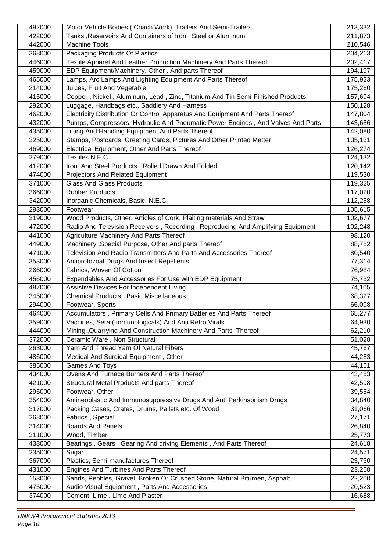| 492000 | Motor Vehicle Bodies (Coach Work), Trailers And Semi-Trailers                   | 213,332 |
|--------|---------------------------------------------------------------------------------|---------|
| 422000 | Tanks, Reservoirs And Containers of Iron, Steel or Aluminum                     |         |
| 442000 | <b>Machine Tools</b>                                                            | 210,546 |
| 368000 | Packaging Products Of Plastics                                                  |         |
| 446000 | Textile Apparel And Leather Production Machinery And Parts Thereof              |         |
| 459000 | EDP Equipment/Machinery, Other, And parts Thereof                               | 194,197 |
| 465000 | Lamps, Arc Lamps And Lighting Equipment And Parts Thereof                       | 175,923 |
| 214000 | Juices, Fruit And Vegetable                                                     | 175,260 |
| 415000 | Copper, Nickel, Aluminum, Lead, Zinc, Titanium And Tin Semi-Finished Products   | 157,694 |
| 292000 | Luggage, Handbags etc., Saddlery And Harness                                    | 150,128 |
| 462000 | Electricity Distribution Or Control Apparatus And Equipment And Parts Thereof   | 147,804 |
| 432000 | Pumps, Compressors, Hydraulic And Pneumatic Power Engines, And Valves And Parts | 143,686 |
| 435000 | Lifting And Handling Equipment And Parts Thereof                                | 142,080 |
| 325000 | Stamps, Postcards, Greeting Cards, Pictures And Other Printed Matter            | 135,131 |
| 469000 | Electrical Equipment, Other And Parts Thereof                                   | 126,274 |
| 279000 | Textiles N.E.C.                                                                 | 124,132 |
| 412000 | Iron And Steel Products, Rolled Drawn And Folded                                | 120,142 |
| 474000 | <b>Projectors And Related Equipment</b>                                         | 119,530 |
| 371000 | <b>Glass And Glass Products</b>                                                 | 119,325 |
| 366000 | <b>Rubber Products</b>                                                          | 117,020 |
| 342000 | Inorganic Chemicals, Basic, N.E.C.                                              | 112,258 |
| 293000 | Footwear                                                                        | 105,615 |
| 319000 | Wood Products, Other, Articles of Cork, Plaiting materials And Straw            | 102,677 |
| 472000 | Radio And Television Receivers, Recording, Reproducing And Amplifying Equipment | 102,248 |
| 441000 | Agriculture Machinery And Parts Thereof                                         | 98,120  |
| 449000 | Machinery , Special Purpose, Other And parts Thereof                            | 88,782  |
| 471000 | Television And Radio Transmitters And Parts And Accessories Thereof             | 80,540  |
| 353000 | Antiprotozoal Drugs And Insect Repellents                                       | 77,314  |
| 266000 | Fabrics, Woven Of Cotton                                                        | 76,984  |
| 456000 | Expendables And Accessories For Use with EDP Equipment                          | 75,732  |
| 487000 | Assistive Devices For Independent Living                                        | 74,105  |
| 345000 | Chemical Products, Basic Miscellaneous                                          | 68,327  |
| 294000 | Footwear, Sports                                                                | 66,098  |
| 464000 | Accumulators, Primary Cells And Primary Batteries And Parts Thereof             | 65,277  |
| 359000 | Vaccines, Sera (Immunologicals) And Anti Retro Virals                           | 64,930  |
| 444000 | Mining, Quarrying And Construction Machinery And Parts Thereof                  | 62,210  |
| 372000 | Ceramic Ware, Non Structural                                                    | 51,028  |
| 263000 | Yarn And Thread Yarn Of Natural Fibers                                          | 45,767  |
| 486000 | Medical And Surgical Equipment, Other                                           | 44,283  |
| 385000 | <b>Games And Toys</b>                                                           | 44,151  |
| 434000 | Ovens And Furnace Burners And Parts Thereof                                     | 43,453  |
| 421000 | Structural Metal Products And parts Thereof                                     | 42,598  |
| 295000 | Footwear, Other                                                                 | 39,554  |
| 354000 | Antineoplastic And Immunosuppressive Drugs And Anti Parkinsonism Drugs          | 34,840  |
| 317000 | Packing Cases, Crates, Drums, Pallets etc. Of Wood                              | 31,066  |
| 268000 | Fabrics, Special                                                                | 27,171  |
| 314000 | <b>Boards And Panels</b>                                                        | 26,840  |
| 311000 | Wood, Timber                                                                    | 25,773  |
| 433000 | Bearings, Gears, Gearing And driving Elements, And Parts Thereof                | 24,618  |
| 235000 | Sugar                                                                           | 24,571  |
| 367000 | Plastics, Semi-manufactures Thereof                                             | 23,730  |
| 431000 | Engines And Turbines And Parts Thereof                                          | 23,258  |
| 153000 | Sands, Pebbles, Gravel, Broken Or Crushed Stone, Natural Bitumen, Asphalt       | 22,200  |
| 475000 | Audio Visual Equipment, Parts And Accessories                                   | 20,523  |
| 374000 | Cement, Lime, Lime And Plaster                                                  | 16,688  |
|        |                                                                                 |         |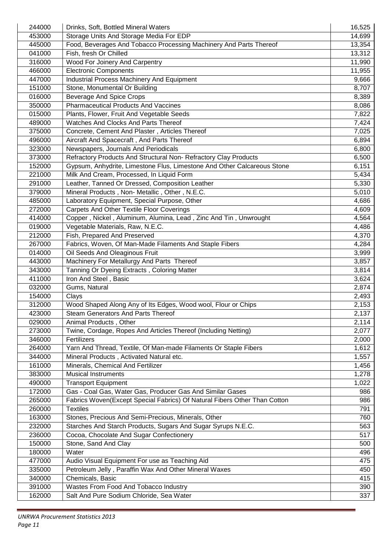| 244000 | Drinks, Soft, Bottled Mineral Waters                                      | 16,525 |
|--------|---------------------------------------------------------------------------|--------|
| 453000 | Storage Units And Storage Media For EDP                                   | 14,699 |
| 445000 | Food, Beverages And Tobacco Processing Machinery And Parts Thereof        | 13,354 |
| 041000 | Fish, fresh Or Chilled                                                    | 13,312 |
| 316000 | Wood For Joinery And Carpentry                                            | 11,990 |
| 466000 | Electronic Components                                                     | 11,955 |
| 447000 | <b>Industrial Process Machinery And Equipment</b>                         | 9,666  |
| 151000 | Stone, Monumental Or Building                                             | 8,707  |
| 016000 | <b>Beverage And Spice Crops</b>                                           | 8,389  |
| 350000 | <b>Pharmaceutical Products And Vaccines</b>                               | 8,086  |
| 015000 | Plants, Flower, Fruit And Vegetable Seeds                                 | 7,822  |
| 489000 | Watches And Clocks And Parts Thereof                                      | 7,424  |
| 375000 | Concrete, Cement And Plaster, Articles Thereof                            | 7,025  |
| 496000 | Aircraft And Spacecraft, And Parts Thereof                                | 6,894  |
| 323000 | Newspapers, Journals And Periodicals                                      | 6,800  |
| 373000 | Refractory Products And Structural Non-Refractory Clay Products           | 6,500  |
| 152000 | Gypsum, Anhydrite, Limestone Flus, Limestone And Other Calcareous Stone   | 6,151  |
| 221000 | Milk And Cream, Processed, In Liquid Form                                 | 5,434  |
| 291000 | Leather, Tanned Or Dressed, Composition Leather                           | 5,330  |
| 379000 | Mineral Products, Non-Metallic, Other, N.E.C.                             | 5,010  |
| 485000 | Laboratory Equipment, Special Purpose, Other                              | 4,686  |
| 272000 | Carpets And Other Textile Floor Coverings                                 | 4,609  |
| 414000 | Copper, Nickel, Aluminum, Alumina, Lead, Zinc And Tin, Unwrought          | 4,564  |
| 019000 | Vegetable Materials, Raw, N.E.C.                                          | 4,486  |
| 212000 | Fish, Prepared And Preserved                                              | 4,370  |
| 267000 | Fabrics, Woven, Of Man-Made Filaments And Staple Fibers                   | 4,284  |
| 014000 | Oil Seeds And Oleaginous Fruit                                            | 3,999  |
| 443000 | Machinery For Metallurgy And Parts Thereof                                | 3,857  |
| 343000 | Tanning Or Dyeing Extracts, Coloring Matter                               | 3,814  |
| 411000 | Iron And Steel, Basic                                                     | 3,624  |
| 032000 | Gums, Natural                                                             | 2,874  |
| 154000 | Clays                                                                     | 2,493  |
| 312000 | Wood Shaped Along Any of Its Edges, Wood wool, Flour or Chips             | 2,153  |
| 423000 | <b>Steam Generators And Parts Thereof</b>                                 | 2,137  |
| 029000 | Animal Products, Other                                                    | 2,114  |
| 273000 | Twine, Cordage, Ropes And Articles Thereof (Including Netting)            | 2,077  |
| 346000 | Fertilizers                                                               | 2,000  |
| 264000 | Yarn And Thread, Textile, Of Man-made Filaments Or Staple Fibers          | 1,612  |
| 344000 | Mineral Products, Activated Natural etc.                                  | 1,557  |
| 161000 | Minerals, Chemical And Fertilizer                                         | 1,456  |
| 383000 | <b>Musical Instruments</b>                                                | 1,278  |
| 490000 | <b>Transport Equipment</b>                                                | 1,022  |
| 172000 | Gas - Coal Gas, Water Gas, Producer Gas And Similar Gases                 | 986    |
| 265000 | Fabrics Woven(Except Special Fabrics) Of Natural Fibers Other Than Cotton | 986    |
| 260000 | <b>Textiles</b>                                                           | 791    |
| 163000 | Stones, Precious And Semi-Precious, Minerals, Other                       | 760    |
| 232000 | Starches And Starch Products, Sugars And Sugar Syrups N.E.C.              | 563    |
| 236000 | Cocoa, Chocolate And Sugar Confectionery                                  | 517    |
| 150000 | Stone, Sand And Clay                                                      | 500    |
| 180000 | Water                                                                     | 496    |
| 477000 | Audio Visual Equipment For use as Teaching Aid                            | 475    |
| 335000 | Petroleum Jelly, Paraffin Wax And Other Mineral Waxes                     | 450    |
| 340000 | Chemicals, Basic                                                          | 415    |
| 391000 | Wastes From Food And Tobacco Industry                                     | 390    |
|        |                                                                           |        |
| 162000 | Salt And Pure Sodium Chloride, Sea Water                                  | 337    |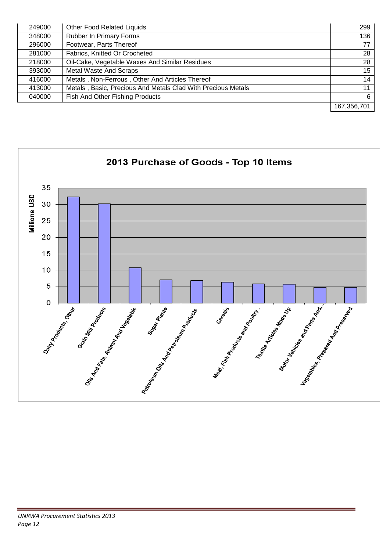| 249000 | <b>Other Food Related Liquids</b>                            | 299              |
|--------|--------------------------------------------------------------|------------------|
| 348000 | <b>Rubber In Primary Forms</b>                               | 136              |
| 296000 | Footwear, Parts Thereof                                      | 77               |
| 281000 | Fabrics, Knitted Or Crocheted                                | 28               |
| 218000 | Oil-Cake, Vegetable Waxes And Similar Residues               | 28               |
| 393000 | <b>Metal Waste And Scraps</b>                                | 15 <sup>15</sup> |
| 416000 | Metals, Non-Ferrous, Other And Articles Thereof              | 14               |
| 413000 | Metals, Basic, Precious And Metals Clad With Precious Metals | 11               |
| 040000 | Fish And Other Fishing Products                              | 6                |
|        |                                                              | 167,356,701      |

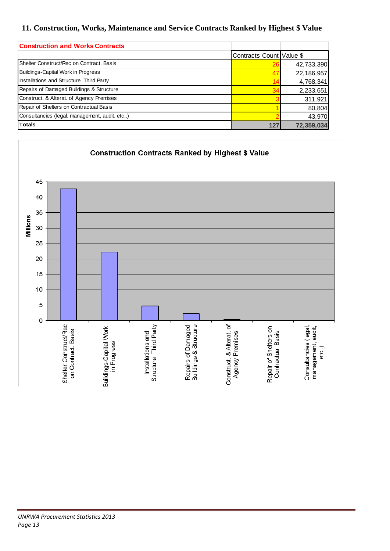#### **11. Construction, Works, Maintenance and Service Contracts Ranked by Highest \$ Value**

| <b>Construction and Works Contracts</b>       |                          |            |
|-----------------------------------------------|--------------------------|------------|
|                                               | Contracts Count Value \$ |            |
| Shelter Construct/Rec on Contract, Basis      |                          | 42,733,390 |
| <b>Buildings-Capital Work in Progress</b>     | 47                       | 22,186,957 |
| Installations and Structure Third Party       | 14                       | 4,768,341  |
| Repairs of Damaged Buildings & Structure      | 34                       | 2,233,651  |
| Construct. & Alterat. of Agency Premises      |                          | 311,921    |
| Repair of Shelters on Contractual Basis       |                          | 80,804     |
| Consultancies (legal, management, audit, etc) |                          | 43,970     |
| <b>Totals</b>                                 | 127                      | 72,359,034 |